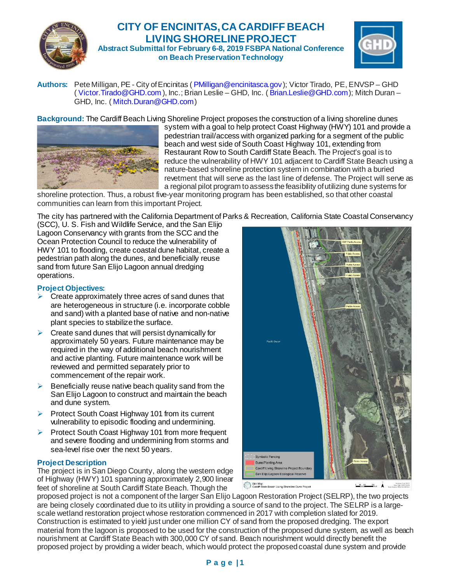

# **CITY OF ENCINITAS, CA CARDIFF BEACH LIVING SHORELINE PROJECT Abstract Submittal for February 6-8, 2019 FSBPA National Conference**

**on Beach Preservation Technology**



Authors: Pete Milligan, PE - City of Encinitas (*[PMilligan@encinitasca.gov](mailto:PMilligan@encinitasca.gov)*); Victor Tirado, PE, ENVSP – GHD (37T[Victor.Tirado@GHD.com](mailto:Victor.Tirado@GHD.com)), Inc.; Brian Leslie – GHD, Inc. ([Brian.Leslie@GHD.com](mailto:Brian.Leslie@GHD.com)); Mitch Duran – GHD, Inc. ([Mitch.Duran@GHD.com](mailto:Mitch.Duran@GHD.com))

**Background:** The Cardiff Beach Living Shoreline Project proposes the construction of a living shoreline dunes



system with a goal to help protect Coast Highway (HWY) 101 and provide a pedestrian trail/access with organized parking for a segment of the public beach and west side of South Coast Highway 101, extending from Restaurant Row to South Cardiff State Beach. The Project's goal is to reduce the vulnerability of HWY 101 adjacent to Cardiff State Beach using a nature-based shoreline protection system in combination with a buried revetment that will serve as the last line of defense. The Project will serve as a regional pilot program to assess the feasibility of utilizing dune systems for

shoreline protection. Thus, a robust five-year monitoring program has been established, so that other coastal communities can learn from this important Project.

The city has partnered with the California Department of Parks & Recreation, California State Coastal Conservancy

(SCC), U. S. Fish and Wildlife Service, and the San Elijo Lagoon Conservancy with grants from the SCC and the Ocean Protection Council to reduce the vulnerability of HWY 101 to flooding, create coastal dune habitat, create a pedestrian path along the dunes, and beneficially reuse sand from future San Elijo Lagoon annual dredging operations.

### **Project Objectives:**

- $\triangleright$  Create approximately three acres of sand dunes that are heterogeneous in structure (i.e. incorporate cobble and sand) with a planted base of native and non-native plant species to stabilize the surface.
- $\triangleright$  Create sand dunes that will persist dynamically for approximately 50 years. Future maintenance may be required in the way of additional beach nourishment and active planting. Future maintenance work will be reviewed and permitted separately prior to commencement of the repair work.
- $\triangleright$  Beneficially reuse native beach quality sand from the San Elijo Lagoon to construct and maintain the beach and dune system.
- Protect South Coast Highway 101 from its current vulnerability to episodic flooding and undermining.
- $\triangleright$  Protect South Coast Highway 101 from more frequent and severe flooding and undermining from storms and sea-level rise over the next 50 years.

#### **Project Description**

The project is in San Diego County, along the western edge of Highway (HWY) 101 spanning approximately 2,900 linear feet of shoreline at South Cardiff State Beach. Though the



proposed project is not a component of the larger San Elijo Lagoon Restoration Project (SELRP), the two projects are being closely coordinated due to its utility in providing a source of sand to the project. The SELRP is a largescale wetland restoration project whose restoration commenced in 2017 with completion slated for 2019. Construction is estimated to yield just under one million CY of sand from the proposed dredging. The export material from the lagoon is proposed to be used for the construction of the proposed dune system, as well as beach nourishment at Cardiff State Beach with 300,000 CY of sand. Beach nourishment would directly benefit the proposed project by providing a wider beach, which would protect the proposed coastal dune system and provide